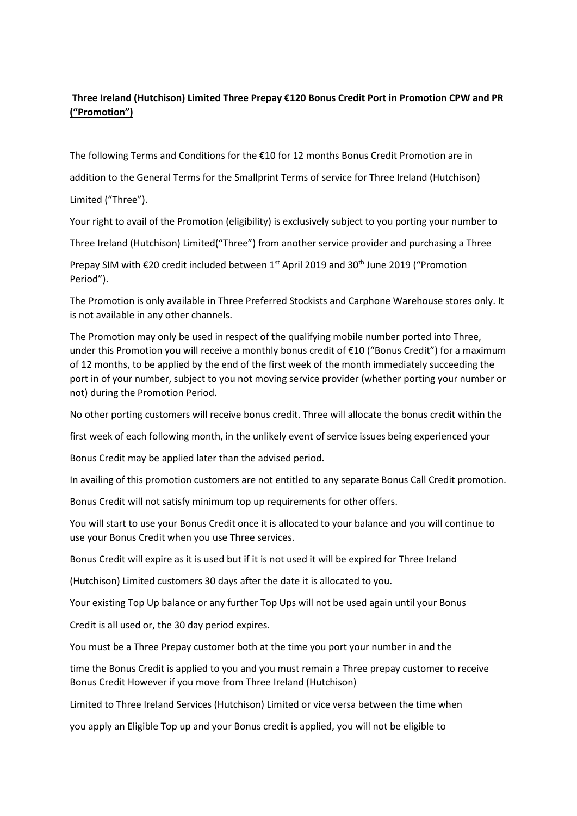## **Three Ireland (Hutchison) Limited Three Prepay €120 Bonus Credit Port in Promotion CPW and PR ("Promotion")**

The following Terms and Conditions for the €10 for 12 months Bonus Credit Promotion are in

addition to the General Terms for the Smallprint Terms of service for Three Ireland (Hutchison)

Limited ("Three").

Your right to avail of the Promotion (eligibility) is exclusively subject to you porting your number to

Three Ireland (Hutchison) Limited("Three") from another service provider and purchasing a Three

Prepay SIM with €20 credit included between  $1<sup>st</sup>$  April 2019 and 30<sup>th</sup> June 2019 ("Promotion Period").

The Promotion is only available in Three Preferred Stockists and Carphone Warehouse stores only. It is not available in any other channels.

The Promotion may only be used in respect of the qualifying mobile number ported into Three, under this Promotion you will receive a monthly bonus credit of €10 ("Bonus Credit") for a maximum of 12 months, to be applied by the end of the first week of the month immediately succeeding the port in of your number, subject to you not moving service provider (whether porting your number or not) during the Promotion Period.

No other porting customers will receive bonus credit. Three will allocate the bonus credit within the

first week of each following month, in the unlikely event of service issues being experienced your

Bonus Credit may be applied later than the advised period.

In availing of this promotion customers are not entitled to any separate Bonus Call Credit promotion.

Bonus Credit will not satisfy minimum top up requirements for other offers.

You will start to use your Bonus Credit once it is allocated to your balance and you will continue to use your Bonus Credit when you use Three services.

Bonus Credit will expire as it is used but if it is not used it will be expired for Three Ireland

(Hutchison) Limited customers 30 days after the date it is allocated to you.

Your existing Top Up balance or any further Top Ups will not be used again until your Bonus

Credit is all used or, the 30 day period expires.

You must be a Three Prepay customer both at the time you port your number in and the

time the Bonus Credit is applied to you and you must remain a Three prepay customer to receive Bonus Credit However if you move from Three Ireland (Hutchison)

Limited to Three Ireland Services (Hutchison) Limited or vice versa between the time when

you apply an Eligible Top up and your Bonus credit is applied, you will not be eligible to